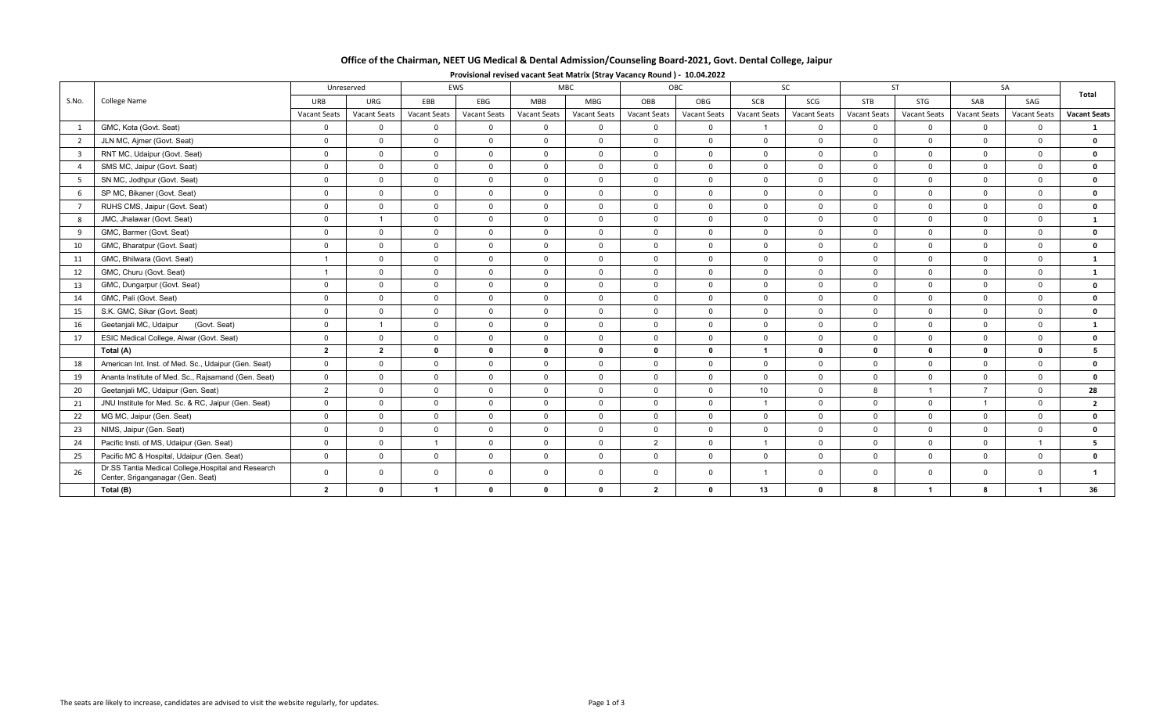| Office of the Chairman, NEET UG Medical & Dental Admission/Counseling Board-2021, Govt. Dental College, Jaipur |  |  |  |  |  |  |  |  |  |
|----------------------------------------------------------------------------------------------------------------|--|--|--|--|--|--|--|--|--|
|----------------------------------------------------------------------------------------------------------------|--|--|--|--|--|--|--|--|--|

|                |                                                                                          |                     | Unreserved     |                | EWS          |                | <b>MBC</b>     |                | <b>OBC</b>          |                      | <b>SC</b>           |                     | <b>ST</b>           |                | SA                  | Total               |
|----------------|------------------------------------------------------------------------------------------|---------------------|----------------|----------------|--------------|----------------|----------------|----------------|---------------------|----------------------|---------------------|---------------------|---------------------|----------------|---------------------|---------------------|
| S.No.          | <b>College Name</b>                                                                      | URB                 | URG            | EBB            | EBG          | <b>MBB</b>     | MBG            | OBB            | OBG                 | SCB                  | SCG                 | <b>STB</b>          | STG                 | SAB            | SAG                 |                     |
|                |                                                                                          | <b>Vacant Seats</b> | Vacant Seats   | Vacant Seats   | Vacant Seats | Vacant Seats   | Vacant Seats   | Vacant Seats   | <b>Vacant Seats</b> | <b>Vacant Seats</b>  | <b>Vacant Seats</b> | <b>Vacant Seats</b> | <b>Vacant Seats</b> | Vacant Seats   | <b>Vacant Seats</b> | <b>Vacant Seats</b> |
|                | GMC, Kota (Govt. Seat)                                                                   | $\overline{0}$      | $\Omega$       | $\mathbf{0}$   | $\mathsf{O}$ | $\mathbf 0$    | $\mathbf 0$    | $\mathbf 0$    | $\mathbf 0$         | $\mathbf{1}$         | $\mathbf{0}$        | $\mathbf{0}$        | $\overline{0}$      | $\Omega$       | $\overline{0}$      | $\mathbf{1}$        |
| $\overline{2}$ | JLN MC, Ajmer (Govt. Seat)                                                               | $\overline{0}$      | $\Omega$       | $\Omega$       | $\Omega$     | $\overline{0}$ | $\mathbf 0$    | $\overline{0}$ | $\overline{0}$      | $\overline{0}$       | $\mathbf{0}$        | $\Omega$            | $\Omega$            | $\Omega$       | $\mathbf 0$         | $\mathbf 0$         |
| $\overline{3}$ | RNT MC, Udaipur (Govt. Seat)                                                             | $\overline{0}$      | $\Omega$       | $\mathbf{0}$   | $\mathbf{0}$ | $\mathbf 0$    | $\overline{0}$ | $\mathbf{0}$   | $\overline{0}$      | $\overline{0}$       | $\mathbf{0}$        | $\Omega$            | $\mathbf{0}$        | $\mathbf 0$    | $\mathbf{0}$        | $\mathbf 0$         |
|                | SMS MC, Jaipur (Govt. Seat)                                                              | $\overline{0}$      | $\Omega$       | $\mathbf 0$    | $\mathbf{0}$ | $\mathbf 0$    | $\mathbf 0$    | $\mathbf 0$    | $\overline{0}$      | $\overline{0}$       | $\overline{0}$      | $\Omega$            | $\overline{0}$      | $\Omega$       | $\overline{0}$      | $\mathbf 0$         |
| 5 <sup>5</sup> | SN MC, Jodhpur (Govt. Seat)                                                              | $\overline{0}$      | $\Omega$       | $\Omega$       | $\mathbf{0}$ | $\overline{0}$ | $\mathbf{0}$   | $\overline{0}$ | $\overline{0}$      | $\overline{0}$       | $\overline{0}$      | $\Omega$            | $\Omega$            | $\Omega$       | $\overline{0}$      | $\mathbf 0$         |
| 6              | SP MC, Bikaner (Govt. Seat)                                                              | $\mathbf 0$         | $\Omega$       | $\mathbf{0}$   | $\mathbf{0}$ | $\mathbf 0$    | $\mathbf{0}$   | $\mathbf 0$    | $\mathbf 0$         | $\overline{0}$       | $\mathbf{0}$        | $\Omega$            | $\Omega$            | $\mathbf 0$    | $\mathbf{0}$        | $\mathbf 0$         |
| $\overline{7}$ | RUHS CMS, Jaipur (Govt. Seat)                                                            | $\overline{0}$      | $\Omega$       | $\mathbf{0}$   | $\mathbf{0}$ | $\mathbf 0$    | $\mathbf{0}$   | $\mathbf{0}$   | $\mathbf 0$         | $\overline{0}$       | $\overline{0}$      | $\mathbf{0}$        | $\mathbf{0}$        | $\mathbf{0}$   | $\mathbf{0}$        | $\mathbf 0$         |
| 8              | JMC, Jhalawar (Govt. Seat)                                                               | $\mathsf{O}$        | $\overline{1}$ | $\mathsf{O}$   | $\mathbf{0}$ | $\mathbf 0$    | $\overline{0}$ | $\overline{0}$ | $\mathbf 0$         | $\overline{0}$       | $\mathbf{0}$        | $\mathbf{0}$        | $\overline{0}$      | $\mathbf 0$    | $\overline{0}$      | $\mathbf{1}$        |
| $\mathbf{q}$   | GMC, Barmer (Govt. Seat)                                                                 | $\overline{0}$      | $\Omega$       | $\Omega$       | $\mathbf{0}$ | $\overline{0}$ | $\mathbf 0$    | $\overline{0}$ | $\overline{0}$      | $\overline{0}$       | $\Omega$            | $\Omega$            | $\Omega$            | $\Omega$       | $\mathbf{0}$        | $\mathbf 0$         |
| 10             | GMC, Bharatpur (Govt. Seat)                                                              | $\overline{0}$      | $\Omega$       | $\Omega$       | $\mathbf{0}$ | $\overline{0}$ | $\mathbf 0$    | $\mathbf{0}$   | $\overline{0}$      | $\overline{0}$       | $\mathbf{0}$        | $\Omega$            | $\Omega$            | $\mathbf{0}$   | $\overline{0}$      | $\mathbf 0$         |
| 11             | GMC, Bhilwara (Govt. Seat)                                                               |                     | $\Omega$       | $\mathbf 0$    | $\mathsf{O}$ | $\mathbf 0$    | $\mathbf 0$    | $\mathbf 0$    | $\mathbf 0$         | $\overline{0}$       | $\mathbf{0}$        | $\Omega$            | $\mathbf 0$         | $\Omega$       | $\mathbf{0}$        | $\mathbf{1}$        |
| 12             | GMC, Churu (Govt. Seat)                                                                  |                     | $\Omega$       | $\mathsf{O}$   | $\mathbf{0}$ | $\mathbf 0$    | $\mathbf 0$    | $\mathbf 0$    | $\mathbf 0$         | $\overline{0}$       | $\mathbf 0$         | $\mathbf{0}$        | $\mathbf{0}$        | $\mathbf{0}$   | $\mathbf 0$         | $\mathbf{1}$        |
| 13             | GMC, Dungarpur (Govt. Seat)                                                              | $\overline{0}$      | $\Omega$       | $\mathbf 0$    | $\mathbf 0$  | $\overline{0}$ | $\mathbf 0$    | $\overline{0}$ | $\overline{0}$      | $\overline{0}$       | $\mathbf{0}$        | $\Omega$            | $\overline{0}$      | $\Omega$       | $\mathbf 0$         | $\mathbf 0$         |
| 14             | GMC, Pali (Govt. Seat)                                                                   | $\overline{0}$      | $\Omega$       | $\mathbf{0}$   | $\mathbf 0$  | $\mathbf 0$    | $\mathbf{0}$   | $\mathbf 0$    | $\mathbf 0$         | $\overline{0}$       | $\mathbf{0}$        | $\Omega$            | $\Omega$            | $\Omega$       | $\mathbf{0}$        | $\mathbf 0$         |
| 15             | S.K. GMC, Sikar (Govt. Seat)                                                             | $\mathbf 0$         | $\Omega$       | $\mathbf 0$    | $\mathbf{0}$ | $\mathbf 0$    | $\mathbf{0}$   | $\mathbf 0$    | $\mathbf 0$         | $\overline{0}$       | $\mathbf{0}$        | $\Omega$            | $\mathbf{0}$        | $\mathbf{0}$   | $\overline{0}$      | $\mathbf 0$         |
| 16             | Geetanjali MC, Udaipur<br>(Govt. Seat)                                                   | $\mathbf 0$         |                | $\mathbf 0$    | $\mathsf{O}$ | $\mathbf 0$    | $\mathbf 0$    | $\mathbf 0$    | $\mathbf 0$         | $\mathbf 0$          | $\mathbf 0$         | $\Omega$            | $\mathbf{0}$        | $\mathbf{0}$   | $\mathbf{0}$        | $\mathbf{1}$        |
| 17             | ESIC Medical College, Alwar (Govt. Seat)                                                 | $\overline{0}$      | $\Omega$       | $\mathbf 0$    | $\mathbf{0}$ | $\overline{0}$ | $\mathbf 0$    | $\overline{0}$ | $\overline{0}$      | $\overline{0}$       | $\mathbf{0}$        | $\mathbf 0$         | $\overline{0}$      | $\mathbf 0$    | $\overline{0}$      | $\mathbf 0$         |
|                | Total (A)                                                                                | $\overline{2}$      | $\overline{2}$ | $\mathbf{0}$   | $\mathbf{0}$ | $\mathbf{0}$   | $\mathbf{0}$   | $\mathbf 0$    | $\mathbf 0$         | $\overline{1}$       | $\mathbf{0}$        | $\mathbf{0}$        | $\mathbf{0}$        | $\mathbf{0}$   | $\mathbf{0}$        | 5                   |
| 18             | American Int. Inst. of Med. Sc., Udaipur (Gen. Seat)                                     | $\overline{0}$      | $\Omega$       | $\mathbf 0$    | $\mathbf{0}$ | $\mathbf 0$    | $\mathbf 0$    | $\overline{0}$ | $\overline{0}$      | $\mathbf 0$          | $\mathbf{0}$        | $\Omega$            | $\mathbf 0$         | $\mathbf{0}$   | $\mathbf{0}$        | $\mathbf 0$         |
| 19             | Ananta Institute of Med. Sc., Rajsamand (Gen. Seat)                                      | $\Omega$            | $\Omega$       | $\Omega$       | $\Omega$     | $\overline{0}$ | $\Omega$       | $\overline{0}$ | $\overline{0}$      | $\Omega$             | $\mathbf{0}$        | $\Omega$            | $\Omega$            | $\Omega$       | $\overline{0}$      | $\mathbf{0}$        |
| 20             | Geetanjali MC, Udaipur (Gen. Seat)                                                       | 2                   | $\Omega$       | $\mathbf 0$    | $\mathbf 0$  | $\mathbf 0$    | $\Omega$       | $\overline{0}$ | $\overline{0}$      | 10                   | $\mathbf{0}$        | 8                   |                     | $\overline{7}$ | $\overline{0}$      | 28                  |
| 21             | JNU Institute for Med. Sc. & RC, Jaipur (Gen. Seat)                                      | $\Omega$            | $\Omega$       | $\Omega$       | $\Omega$     | $\overline{0}$ | $\Omega$       | $\overline{0}$ | $\overline{0}$      | $\blacktriangleleft$ | $\Omega$            | $\Omega$            | $\Omega$            | $\overline{1}$ | $\Omega$            | $\overline{2}$      |
| 22             | MG MC, Jaipur (Gen. Seat)                                                                | $\Omega$            | $\Omega$       | $\Omega$       | $\Omega$     | $\overline{0}$ | $\Omega$       | $\Omega$       | $\Omega$            | $\Omega$             | $\Omega$            | $\Omega$            | $\Omega$            | $\Omega$       | $\mathbf 0$         | $\mathbf 0$         |
| 23             | NIMS, Jaipur (Gen. Seat)                                                                 | $\Omega$            | $\Omega$       | $\Omega$       | $\mathbf{0}$ | $\overline{0}$ | $\mathbf 0$    | $\overline{0}$ | $\overline{0}$      | $\Omega$             | $\overline{0}$      | $\Omega$            | $\Omega$            | $\Omega$       | $\mathbf 0$         | $\mathbf 0$         |
| 24             | Pacific Insti. of MS, Udaipur (Gen. Seat)                                                | $\Omega$            | $\Omega$       | $\overline{1}$ | $\mathbf{0}$ | $\mathbf 0$    | $\mathbf 0$    | $\overline{2}$ | $\overline{0}$      | $\blacktriangleleft$ | $\mathbf{0}$        | $\Omega$            | $\Omega$            | $\Omega$       | $\overline{1}$      | 5 <sub>1</sub>      |
| 25             | Pacific MC & Hospital, Udaipur (Gen. Seat)                                               | $\overline{0}$      | $\Omega$       | $\Omega$       | $\Omega$     | $\Omega$       | $\Omega$       | $\Omega$       | $\Omega$            | $\Omega$             | $\Omega$            | $\Omega$            | $\Omega$            | $\Omega$       | $\Omega$            | $\mathbf{0}$        |
| 26             | Dr.SS Tantia Medical College, Hospital and Research<br>Center, Sriganganagar (Gen. Seat) | $\overline{0}$      | $\overline{0}$ | $\Omega$       | $\mathsf{O}$ | $\mathbf 0$    | $\mathbf{0}$   | $\mathbf 0$    | $\mathbf 0$         | $\mathbf{1}$         | $\mathbf 0$         | $\mathbf{0}$        | $\mathbf 0$         | $\Omega$       | $\mathbf{0}$        | $\overline{1}$      |
|                | Total (B)                                                                                | $\mathbf{2}$        | $\mathbf{0}$   | -1             | $\mathbf 0$  | $\mathbf 0$    | $\mathbf{0}$   | $\overline{2}$ | $\mathbf{0}$        | 13                   | $\mathbf 0$         | 8                   |                     | 8              | -1                  | 36                  |

## **Provisional revised vacant Seat Matrix (Stray Vacancy Round ) ‐ 10.04.2022**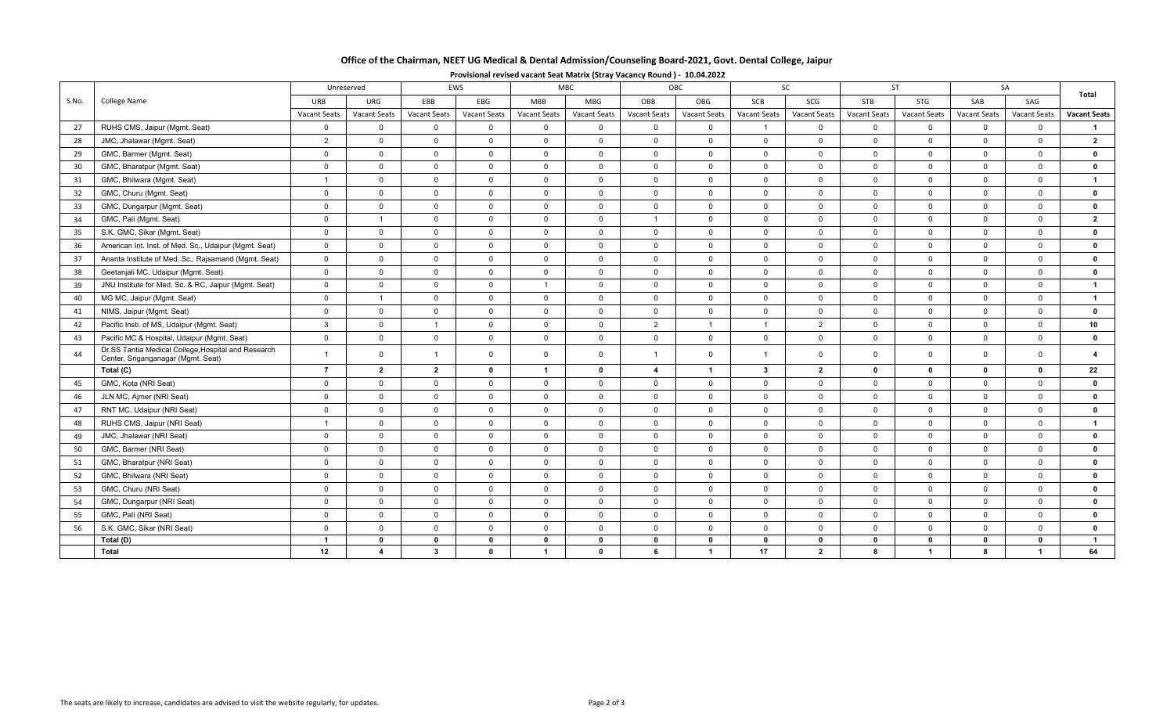| Office of the Chairman, NEET UG Medical & Dental Admission/Counseling Board-2021, Govt. Dental College, Jaipur |
|----------------------------------------------------------------------------------------------------------------|
|----------------------------------------------------------------------------------------------------------------|

| Provisional revised vacant Seat Matrix (Stray Vacancy Round) - 10.04.2022 |  |  |  |
|---------------------------------------------------------------------------|--|--|--|
|                                                                           |  |  |  |

|       |                                                                                           |                | Unreserved     |                | EWS          | <b>MBC</b>     |                |                | OBC                 |                | SC                  |              | ST                   | SA             |                | Total               |  |
|-------|-------------------------------------------------------------------------------------------|----------------|----------------|----------------|--------------|----------------|----------------|----------------|---------------------|----------------|---------------------|--------------|----------------------|----------------|----------------|---------------------|--|
| S.No. | College Name                                                                              | URB            | URG            | EBB            | EBG          | <b>MBB</b>     | <b>MBG</b>     | OBB            | <b>OBG</b>          | <b>SCB</b>     | SCG                 | <b>STB</b>   | <b>STG</b>           | SAB            | SAG            |                     |  |
|       |                                                                                           | Vacant Seats   | Vacant Seats   | Vacant Seats   | Vacant Seats | Vacant Seats   | Vacant Seats   | Vacant Seats   | <b>Vacant Seats</b> | Vacant Seats   | <b>Vacant Seats</b> | Vacant Seats | Vacant Seats         | Vacant Seats   | Vacant Seats   | <b>Vacant Seats</b> |  |
| 27    | RUHS CMS, Jaipur (Mgmt. Seat)                                                             | $\mathbf{0}$   | $\overline{0}$ | $\mathbf 0$    | $\mathbf{0}$ | $\mathbf 0$    | $\mathbf 0$    | $\mathbf 0$    | $\mathbf{0}$        |                | $\mathbf{0}$        | $\mathbf 0$  | $\mathbf 0$          | $\overline{0}$ | $\overline{0}$ | $\mathbf{1}$        |  |
| 28    | JMC, Jhalawar (Mgmt. Seat)                                                                | 2              | $\Omega$       | $\mathbf 0$    | $\mathbf{0}$ | $\overline{0}$ | $\mathbf{0}$   | $\mathbf 0$    | $\mathbf{0}$        | $\overline{0}$ | $\Omega$            | $\Omega$     | $\mathbf 0$          | $\mathbf{0}$   | $\Omega$       | $\overline{2}$      |  |
| 29    | GMC, Barmer (Mgmt. Seat)                                                                  | $\overline{0}$ | $\mathbf 0$    | $\mathbf 0$    | $\mathbf 0$  | $\mathbf 0$    | $\mathbf 0$    | $\mathbf 0$    | $\mathbf{0}$        | $\overline{0}$ | $\mathbf{0}$        | $\mathbf 0$  | $\mathbf 0$          | $\overline{0}$ | $\overline{0}$ | $\mathbf{0}$        |  |
| 30    | GMC, Bharatpur (Mgmt. Seat)                                                               | $\overline{0}$ | $\overline{0}$ | $\mathbf 0$    | $\mathbf 0$  | $\overline{0}$ | $\overline{0}$ | $\overline{0}$ | $\overline{0}$      | $\overline{0}$ | $\mathbf{0}$        | $\mathbf 0$  | $\mathbf 0$          | $\overline{0}$ | $\overline{0}$ | $\mathbf{0}$        |  |
| 31    | GMC, Bhilwara (Mgmt. Seat)                                                                | $\overline{1}$ | $\overline{0}$ | $\mathbf 0$    | $\mathbf 0$  | $\overline{0}$ | $\mathbf 0$    | $\overline{0}$ | $\overline{0}$      | $\overline{0}$ | $\overline{0}$      | $\mathbf 0$  | $\mathbf 0$          | $\overline{0}$ | $\overline{0}$ | $\mathbf{1}$        |  |
| 32    | GMC, Churu (Mgmt. Seat)                                                                   | $\overline{0}$ | $\mathbf{0}$   | $\Omega$       | $\mathbf 0$  | $\overline{0}$ | $\overline{0}$ | $\overline{0}$ | $\overline{0}$      | $\overline{0}$ | $\mathbf{0}$        | $\Omega$     | $\Omega$             | $\overline{0}$ | $\Omega$       | $\mathbf{0}$        |  |
| 33    | GMC, Dungarpur (Mgmt. Seat)                                                               | $\overline{0}$ | $\mathbf 0$    | $\mathbf 0$    | $\mathbf 0$  | $\mathbf 0$    | $\mathbf 0$    | $\mathbf 0$    | $\mathbf 0$         | $\overline{0}$ | $\mathbf{0}$        | $\mathbf 0$  | $\mathbf 0$          | $\overline{0}$ | $\overline{0}$ | $\mathbf{0}$        |  |
| 34    | GMC, Pali (Mgmt. Seat)                                                                    | $\overline{0}$ | $\overline{1}$ | $\mathbf 0$    | $\mathbf 0$  | $\overline{0}$ | $\overline{0}$ | $\overline{1}$ | $\overline{0}$      | $\overline{0}$ | $\mathbf{0}$        | $\mathbf 0$  | $\mathbf 0$          | $\overline{0}$ | $\overline{0}$ | $\overline{2}$      |  |
| 35    | S.K. GMC, Sikar (Mgmt. Seat)                                                              | $\overline{0}$ | $\mathbf{0}$   | $\mathbf 0$    | $\mathbf{0}$ | $\overline{0}$ | $\mathbf{0}$   | $\overline{0}$ | $\mathbf{0}$        | $\overline{0}$ | $\mathbf{0}$        | $\mathbf 0$  | $\mathbf 0$          | $\mathbf{0}$   | $\Omega$       | $\mathbf{0}$        |  |
| 36    | American Int. Inst. of Med. Sc., Udaipur (Mgmt. Seat)                                     | $\overline{0}$ | $\mathbf 0$    | $\mathsf 0$    | $\mathsf{O}$ | $\mathbf 0$    | $\mathbf 0$    | $\mathbf 0$    | $\mathbf 0$         | $\mathbf 0$    | $\mathbf{0}$        | $\mathbf 0$  | $\mathbf 0$          | $\overline{0}$ | $\mathbf{0}$   | $\mathbf{0}$        |  |
| 37    | Ananta Institute of Med. Sc., Rajsamand (Mgmt. Seat)                                      | $\overline{0}$ | $\overline{0}$ | $\mathbf 0$    | $\mathsf{O}$ | $\mathbf 0$    | $\overline{0}$ | $\overline{0}$ | $\overline{0}$      | $\overline{0}$ | $\mathbf 0$         | $\mathbf 0$  | $\mathbf 0$          | $\overline{0}$ | $\Omega$       | $\mathbf{0}$        |  |
| 38    | Geetanjali MC, Udaipur (Mgmt. Seat)                                                       | $\overline{0}$ | $\overline{0}$ | $\mathbf 0$    | $\mathbf 0$  | $\overline{0}$ | $\overline{0}$ | $\mathbf 0$    | $\overline{0}$      | $\overline{0}$ | $\Omega$            | $\Omega$     | $\Omega$             | $\Omega$       | $\Omega$       | $\mathbf{0}$        |  |
| 39    | JNU Institute for Med. Sc. & RC, Jaipur (Mgmt. Seat)                                      | $\overline{0}$ | $\mathbf 0$    | $\mathbf 0$    | $\mathsf{O}$ | $\overline{1}$ | $\mathbf 0$    | $\mathbf 0$    | $\overline{0}$      | $\overline{0}$ | $\mathbf{0}$        | $\mathbf 0$  | $\mathbf 0$          | $\overline{0}$ | $\Omega$       | $\mathbf{1}$        |  |
| 40    | MG MC, Jaipur (Mgmt. Seat)                                                                | $\overline{0}$ | $\overline{1}$ | $\mathbf 0$    | $\mathbf 0$  | $\overline{0}$ | $\overline{0}$ | $\mathbf 0$    | $\overline{0}$      | $\overline{0}$ | $\mathbf{0}$        | $\mathbf 0$  | $\mathbf 0$          | $\overline{0}$ | $\Omega$       | $\mathbf{1}$        |  |
| 41    | NIMS, Jaipur (Mgmt. Seat)                                                                 | $\overline{0}$ | $\overline{0}$ | $\Omega$       | $\mathbf 0$  | $\overline{0}$ | $\overline{0}$ | $\mathbf 0$    | $\overline{0}$      | $\overline{0}$ | $\Omega$            | $\Omega$     | $\Omega$             | $\overline{0}$ | $\Omega$       | $\mathbf{0}$        |  |
| 42    | Pacific Insti. of MS, Udaipur (Mgmt. Seat)                                                | $\mathbf{3}$   | $\overline{0}$ | $\overline{1}$ | $\mathbf 0$  | $\overline{0}$ | $\overline{0}$ | $\overline{2}$ | $\mathbf{1}$        |                | $\overline{2}$      | $\mathbf 0$  | $\mathbf 0$          | $\overline{0}$ | $\mathbf{0}$   | 10                  |  |
| 43    | Pacific MC & Hospital, Udaipur (Mgmt. Seat)                                               | $\overline{0}$ | $\mathbf 0$    | $\mathsf 0$    | $\mathbf 0$  | $\mathbf 0$    | $\mathbf 0$    | $\mathsf 0$    | $\mathbf 0$         | $\overline{0}$ | $\mathbf 0$         | $\mathbf 0$  | $\mathbf 0$          | $\mathbf 0$    | $\mathbf{0}$   | $\mathbf{0}$        |  |
| 44    | Dr.SS Tantia Medical College, Hospital and Research<br>Center, Sriganganagar (Mgmt. Seat) | $\overline{1}$ | $\overline{0}$ | $\overline{1}$ | $\mathbf{0}$ | $\overline{0}$ | $\mathbf{0}$   | $\overline{1}$ | $\mathbf{0}$        | $\overline{1}$ | $\mathbf{0}$        | $\mathbf 0$  | $\mathbf{0}$         | $\overline{0}$ | $\Omega$       | $\overline{4}$      |  |
|       | Total (C)                                                                                 | $\overline{7}$ | $\mathbf{2}$   | $\overline{2}$ | $\mathbf 0$  | $\overline{1}$ | $\mathbf 0$    | $\overline{4}$ | $\mathbf{1}$        | $\mathbf{3}$   | $\mathbf{2}$        | $\mathbf 0$  | $\mathbf 0$          | $\mathbf 0$    | $\mathbf 0$    | 22                  |  |
| 45    | GMC, Kota (NRI Seat)                                                                      | $\overline{0}$ | $\mathbf{0}$   | $\mathbf 0$    | $\mathbf{0}$ | $\overline{0}$ | $\mathbf 0$    | $\overline{0}$ | $\overline{0}$      | $\overline{0}$ | $\mathbf{0}$        | $\mathbf 0$  | $\mathbf 0$          | $\overline{0}$ | $\mathbf{0}$   | $\mathbf{0}$        |  |
| 46    | JLN MC, Ajmer (NRI Seat)                                                                  | $\overline{0}$ | $\mathbf 0$    | $\mathsf 0$    | $\mathsf{O}$ | $\overline{0}$ | $\mathbf 0$    | $\mathbf 0$    | $\mathbf 0$         | $\mathbf 0$    | $\mathbf{0}$        | $\mathbf 0$  | $\mathbf 0$          | $\overline{0}$ | $\mathbf{0}$   | $\mathbf 0$         |  |
| 47    | RNT MC, Udaipur (NRI Seat)                                                                | $\overline{0}$ | $\overline{0}$ | $\mathbf 0$    | $\mathsf{O}$ | $\overline{0}$ | $\mathbf 0$    | $\mathbf 0$    | $\overline{0}$      | $\overline{0}$ | $\mathbf{0}$        | $\mathbf 0$  | $\mathbf 0$          | $\overline{0}$ | $\mathbf{0}$   | $\mathbf{0}$        |  |
| 48    | RUHS CMS, Jaipur (NRI Seat)                                                               | $\overline{1}$ | $\mathbf 0$    | $\mathbf 0$    | $\mathbf 0$  | $\overline{0}$ | $\overline{0}$ | $\overline{0}$ | $\overline{0}$      | $\overline{0}$ | $\mathbf 0$         | $\Omega$     | $\mathbf 0$          | $\overline{0}$ | $\Omega$       | $\mathbf{1}$        |  |
| 49    | JMC, Jhalawar (NRI Seat)                                                                  | $\Omega$       | $\Omega$       | $\Omega$       | $\Omega$     | $\overline{0}$ | $\mathbf{0}$   | $\mathbf 0$    | $\Omega$            | $\Omega$       | $\Omega$            | $\Omega$     | $\Omega$             | $\Omega$       | $\Omega$       | $\mathbf{0}$        |  |
| 50    | GMC, Barmer (NRI Seat)                                                                    | $\overline{0}$ | $\mathbf 0$    | $\mathbf 0$    | $\mathbf 0$  | $\overline{0}$ | $\mathbf 0$    | $\mathbf 0$    | $\overline{0}$      | $\overline{0}$ | $\mathbf 0$         | $\mathbf 0$  | $\mathbf 0$          | $\overline{0}$ | $\mathbf{0}$   | $\mathbf{0}$        |  |
| 51    | GMC, Bharatpur (NRI Seat)                                                                 | $\overline{0}$ | $\mathbf 0$    | $\mathbf 0$    | $\mathbf 0$  | $\overline{0}$ | $\mathbf 0$    | $\overline{0}$ | $\mathbf 0$         | $\overline{0}$ | $\mathbf 0$         | $\mathbf 0$  | $\mathbf 0$          | $\overline{0}$ | $\mathbf{0}$   | $\mathbf{0}$        |  |
| 52    | GMC, Bhilwara (NRI Seat)                                                                  | $\overline{0}$ | $\mathbf{0}$   | $\Omega$       | $\mathbf{0}$ | $\overline{0}$ | $\mathbf{0}$   | $\overline{0}$ | $\mathbf{0}$        | $\overline{0}$ | $\mathbf{0}$        | $\mathbf 0$  | $\mathbf 0$          | $\overline{0}$ | $\mathbf{0}$   | $\mathbf{0}$        |  |
| 53    | GMC, Churu (NRI Seat)                                                                     | $\overline{0}$ | $\mathbf 0$    | $\mathbf 0$    | $\mathbf 0$  | $\mathbf 0$    | $\mathbf 0$    | $\mathbf 0$    | $\mathbf 0$         | $\overline{0}$ | $\mathbf{0}$        | $\mathbf 0$  | $\mathbf 0$          | $\overline{0}$ | $\mathbf{0}$   | $\mathbf 0$         |  |
| 54    | GMC, Dungarpur (NRI Seat)                                                                 | $\mathbf 0$    | $\mathbf 0$    | $\mathbf 0$    | $\mathsf{O}$ | $\mathbf 0$    | $\overline{0}$ | $\mathsf 0$    | $\mathbf 0$         | $\mathbf 0$    | $\mathbf{0}$        | $\mathbf 0$  | $\mathbf 0$          | $\mathbf 0$    | $\overline{0}$ | $\mathbf 0$         |  |
| 55    | GMC, Pali (NRI Seat)                                                                      | $\overline{0}$ | $\overline{0}$ | $\mathbf 0$    | $\mathbf 0$  | $\overline{0}$ | $\overline{0}$ | $\mathbf 0$    | $\overline{0}$      | $\mathbf 0$    | $\overline{0}$      | $\mathbf 0$  | $\mathbf 0$          | $\overline{0}$ | $\Omega$       | $\mathbf{0}$        |  |
| 56    | S.K. GMC, Sikar (NRI Seat)                                                                | $\mathbf{0}$   | $\mathbf{0}$   | $\mathbf 0$    | $\mathbf{0}$ | $\mathbf 0$    | $\mathbf{0}$   | $\mathbf 0$    | $\mathbf{0}$        | $\overline{0}$ | $\mathbf{0}$        | $\mathbf 0$  | $\mathbf 0$          | $\overline{0}$ | $\mathbf{0}$   | $\mathbf{0}$        |  |
|       | Total (D)                                                                                 | $\mathbf{1}$   | $\mathbf 0$    | $\mathbf{0}$   | $\mathbf 0$  | $\mathbf 0$    | $\mathbf 0$    | $\mathbf 0$    | $\mathbf 0$         | $\mathbf 0$    | $\mathbf 0$         | $\mathbf{0}$ | $\mathbf 0$          | $\mathbf 0$    | $\mathbf 0$    | $\mathbf{1}$        |  |
|       | Total                                                                                     | 12             | 4              | $\mathbf{3}$   | $\mathbf{0}$ | $\mathbf{1}$   | $\mathbf{0}$   | 6              | $\mathbf{1}$        | 17             | $\mathbf{2}$        | 8            | $\blacktriangleleft$ | 8              | $\overline{1}$ | 64                  |  |